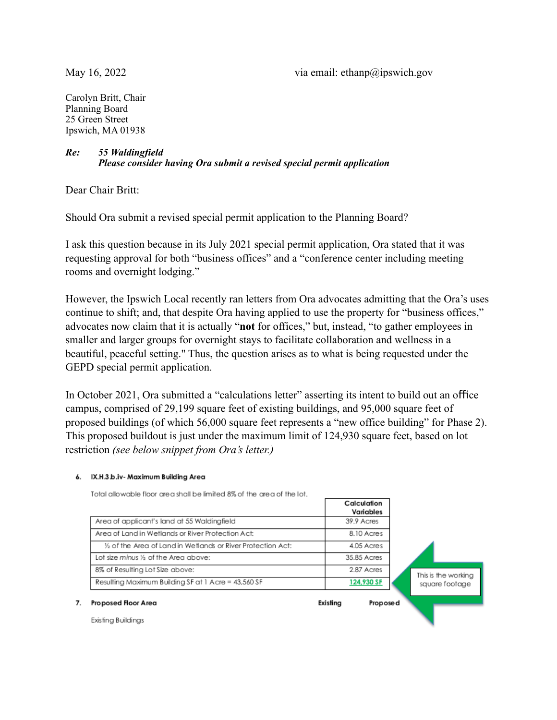May 16, 2022 via email: ethanp@ipswich.gov

Carolyn Britt, Chair Planning Board 25 Green Street Ipswich, MA 01938

## *Re: 55 Waldingfield Please consider having Ora submit a revised special permit application*

Dear Chair Britt:

Should Ora submit a revised special permit application to the Planning Board?

I ask this question because in its July 2021 special permit application, Ora stated that it was requesting approval for both "business offices" and a "conference center including meeting rooms and overnight lodging."

However, the Ipswich Local recently ran letters from Ora advocates admitting that the Ora's uses continue to shift; and, that despite Ora having applied to use the property for "business offices," advocates now claim that it is actually "**not** for offices," but, instead, "to gather employees in smaller and larger groups for overnight stays to facilitate collaboration and wellness in a beautiful, peaceful setting." Thus, the question arises as to what is being requested under the GEPD special permit application.

In October 2021, Ora submitted a "calculations letter" asserting its intent to build out an office campus, comprised of 29,199 square feet of existing buildings, and 95,000 square feet of proposed buildings (of which 56,000 square feet represents a "new office building" for Phase 2). This proposed buildout is just under the maximum limit of 124,930 square feet, based on lot restriction *(see below snippet from Ora's letter.)*

## 6. IX.H.3.b.iv-Maximum Building Area

Total allowable floor area shall be limited 8% of the area of the lot.

|                                                              | calculation |                     |
|--------------------------------------------------------------|-------------|---------------------|
|                                                              | Variables   |                     |
| Area of applicant's land at 55 Waldingfield                  | 39.9 Acres  |                     |
| Area of Land in Wetlands or River Protection Act:            | 8.10 Acres  |                     |
| 1/2 of the Area of Land in Wetlands or River Protection Act: | 4.05 Acres  |                     |
| Lot size minus 1/2 of the Area above:                        | 35.85 Acres |                     |
| 8% of Resulting Lot Size above:                              | 2.87 Acres  | This is the working |
| Resulting Maximum Building SF at 1 Acre = 43,560 SF          | 124,930 SF  | square footage      |
|                                                              |             |                     |

## 7. Proposed Floor Area

Existing Propose d

 $C = 1 - 1 - 1$ 

Existing Buildings